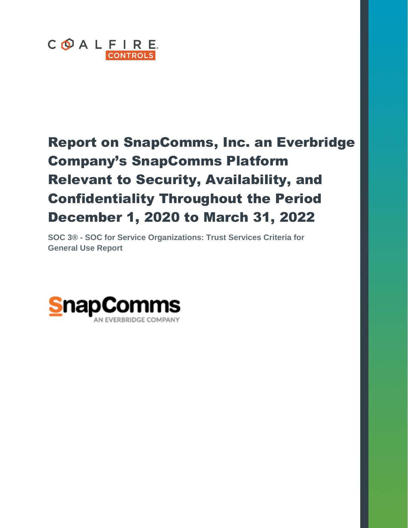

# Report on SnapComms, Inc. an Everbridge Company's SnapComms Platform Relevant to Security, Availability, and Confidentiality Throughout the Period December 1, 2020 to March 31, 2022

**SOC 3® - SOC for Service Organizations: Trust Services Criteria for General Use Report**

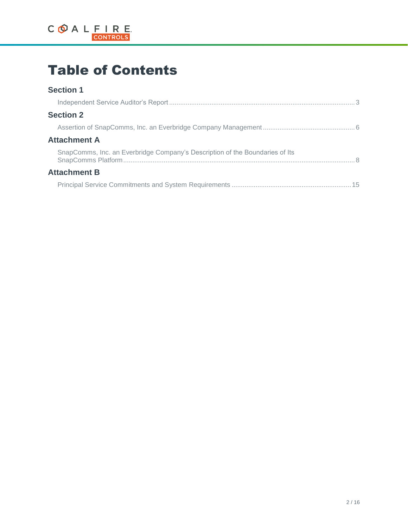

# Table of Contents

### **Section 1**

| <b>Section 2</b>                                                             |  |  |
|------------------------------------------------------------------------------|--|--|
|                                                                              |  |  |
| <b>Attachment A</b>                                                          |  |  |
| SnapComms, Inc. an Everbridge Company's Description of the Boundaries of Its |  |  |
| <b>Attachment B</b>                                                          |  |  |
|                                                                              |  |  |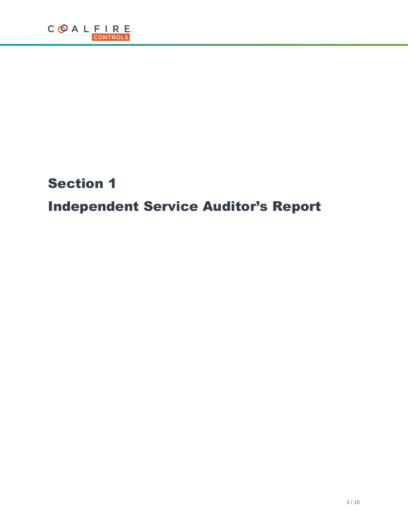# Section 1

# Independent Service Auditor's Report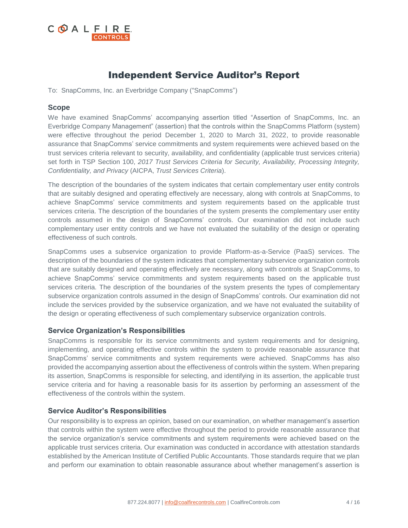

## Independent Service Auditor's Report

To: SnapComms, Inc. an Everbridge Company ("SnapComms")

### **Scope**

We have examined SnapComms' accompanying assertion titled "Assertion of SnapComms, Inc. an Everbridge Company Management" (assertion) that the controls within the SnapComms Platform (system) were effective throughout the period December 1, 2020 to March 31, 2022, to provide reasonable assurance that SnapComms' service commitments and system requirements were achieved based on the trust services criteria relevant to security, availability, and confidentiality (applicable trust services criteria) set forth in TSP Section 100, *2017 Trust Services Criteria for Security, Availability, Processing Integrity, Confidentiality, and Privacy* (AICPA, *Trust Services Criteria*).

The description of the boundaries of the system indicates that certain complementary user entity controls that are suitably designed and operating effectively are necessary, along with controls at SnapComms, to achieve SnapComms' service commitments and system requirements based on the applicable trust services criteria. The description of the boundaries of the system presents the complementary user entity controls assumed in the design of SnapComms' controls. Our examination did not include such complementary user entity controls and we have not evaluated the suitability of the design or operating effectiveness of such controls.

SnapComms uses a subservice organization to provide Platform-as-a-Service (PaaS) services. The description of the boundaries of the system indicates that complementary subservice organization controls that are suitably designed and operating effectively are necessary, along with controls at SnapComms, to achieve SnapComms' service commitments and system requirements based on the applicable trust services criteria. The description of the boundaries of the system presents the types of complementary subservice organization controls assumed in the design of SnapComms' controls. Our examination did not include the services provided by the subservice organization, and we have not evaluated the suitability of the design or operating effectiveness of such complementary subservice organization controls.

### **Service Organization's Responsibilities**

SnapComms is responsible for its service commitments and system requirements and for designing, implementing, and operating effective controls within the system to provide reasonable assurance that SnapComms' service commitments and system requirements were achieved. SnapComms has also provided the accompanying assertion about the effectiveness of controls within the system. When preparing its assertion, SnapComms is responsible for selecting, and identifying in its assertion, the applicable trust service criteria and for having a reasonable basis for its assertion by performing an assessment of the effectiveness of the controls within the system.

### **Service Auditor's Responsibilities**

Our responsibility is to express an opinion, based on our examination, on whether management's assertion that controls within the system were effective throughout the period to provide reasonable assurance that the service organization's service commitments and system requirements were achieved based on the applicable trust services criteria. Our examination was conducted in accordance with attestation standards established by the American Institute of Certified Public Accountants. Those standards require that we plan and perform our examination to obtain reasonable assurance about whether management's assertion is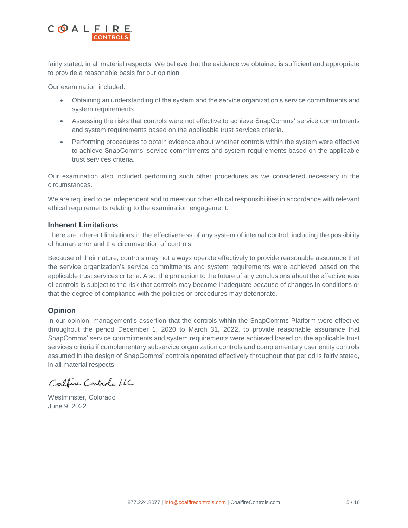

fairly stated, in all material respects. We believe that the evidence we obtained is sufficient and appropriate to provide a reasonable basis for our opinion.

Our examination included:

- Obtaining an understanding of the system and the service organization's service commitments and system requirements.
- Assessing the risks that controls were not effective to achieve SnapComms' service commitments and system requirements based on the applicable trust services criteria.
- Performing procedures to obtain evidence about whether controls within the system were effective to achieve SnapComms' service commitments and system requirements based on the applicable trust services criteria.

Our examination also included performing such other procedures as we considered necessary in the circumstances.

We are required to be independent and to meet our other ethical responsibilities in accordance with relevant ethical requirements relating to the examination engagement.

#### **Inherent Limitations**

There are inherent limitations in the effectiveness of any system of internal control, including the possibility of human error and the circumvention of controls.

Because of their nature, controls may not always operate effectively to provide reasonable assurance that the service organization's service commitments and system requirements were achieved based on the applicable trust services criteria. Also, the projection to the future of any conclusions about the effectiveness of controls is subject to the risk that controls may become inadequate because of changes in conditions or that the degree of compliance with the policies or procedures may deteriorate.

### **Opinion**

In our opinion, management's assertion that the controls within the SnapComms Platform were effective throughout the period December 1, 2020 to March 31, 2022, to provide reasonable assurance that SnapComms' service commitments and system requirements were achieved based on the applicable trust services criteria if complementary subservice organization controls and complementary user entity controls assumed in the design of SnapComms' controls operated effectively throughout that period is fairly stated, in all material respects.

Coalfine Controls LLC

Westminster, Colorado June 9, 2022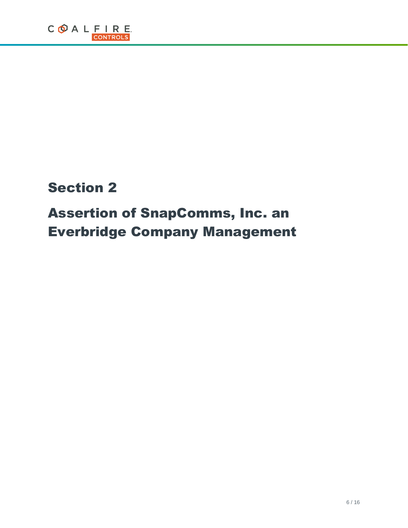# Section 2

# Assertion of SnapComms, Inc. an Everbridge Company Management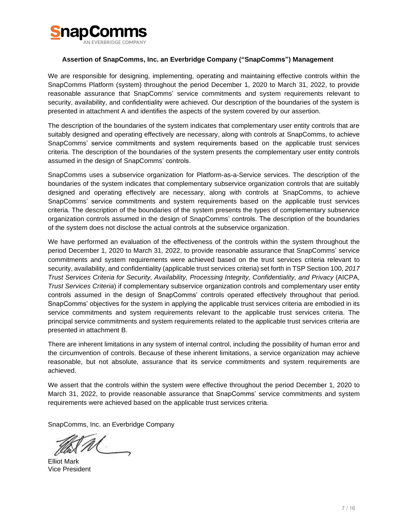

#### **Assertion of SnapComms, Inc. an Everbridge Company ("SnapComms") Management**

We are responsible for designing, implementing, operating and maintaining effective controls within the SnapComms Platform (system) throughout the period December 1, 2020 to March 31, 2022, to provide reasonable assurance that SnapComms' service commitments and system requirements relevant to security, availability, and confidentiality were achieved. Our description of the boundaries of the system is presented in attachment A and identifies the aspects of the system covered by our assertion.

The description of the boundaries of the system indicates that complementary user entity controls that are suitably designed and operating effectively are necessary, along with controls at SnapComms, to achieve SnapComms' service commitments and system requirements based on the applicable trust services criteria. The description of the boundaries of the system presents the complementary user entity controls assumed in the design of SnapComms' controls.

SnapComms uses a subservice organization for Platform-as-a-Service services. The description of the boundaries of the system indicates that complementary subservice organization controls that are suitably designed and operating effectively are necessary, along with controls at SnapComms, to achieve SnapComms' service commitments and system requirements based on the applicable trust services criteria. The description of the boundaries of the system presents the types of complementary subservice organization controls assumed in the design of SnapComms' controls. The description of the boundaries of the system does not disclose the actual controls at the subservice organization.

We have performed an evaluation of the effectiveness of the controls within the system throughout the period December 1, 2020 to March 31, 2022, to provide reasonable assurance that SnapComms' service commitments and system requirements were achieved based on the trust services criteria relevant to security, availability, and confidentiality (applicable trust services criteria) set forth in TSP Section 100, *2017 Trust Services Criteria for Security, Availability, Processing Integrity, Confidentiality, and Privacy* (AICPA, *Trust Services Criteria*) if complementary subservice organization controls and complementary user entity controls assumed in the design of SnapComms' controls operated effectively throughout that period. SnapComms' objectives for the system in applying the applicable trust services criteria are embodied in its service commitments and system requirements relevant to the applicable trust services criteria. The principal service commitments and system requirements related to the applicable trust services criteria are presented in attachment B.

There are inherent limitations in any system of internal control, including the possibility of human error and the circumvention of controls. Because of these inherent limitations, a service organization may achieve reasonable, but not absolute, assurance that its service commitments and system requirements are achieved.

We assert that the controls within the system were effective throughout the period December 1, 2020 to March 31, 2022, to provide reasonable assurance that SnapComms' service commitments and system requirements were achieved based on the applicable trust services criteria.

SnapComms, Inc. an Everbridge Company

Elliot Mark Vice President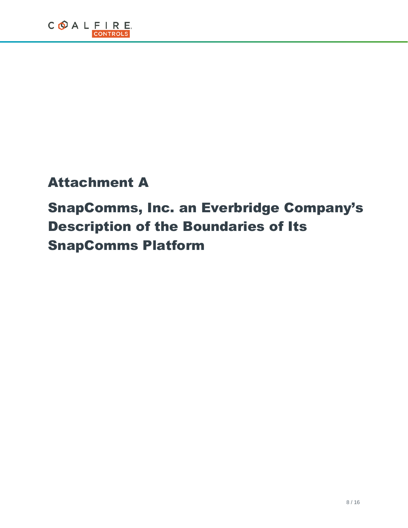# Attachment A

# SnapComms, Inc. an Everbridge Company's Description of the Boundaries of Its SnapComms Platform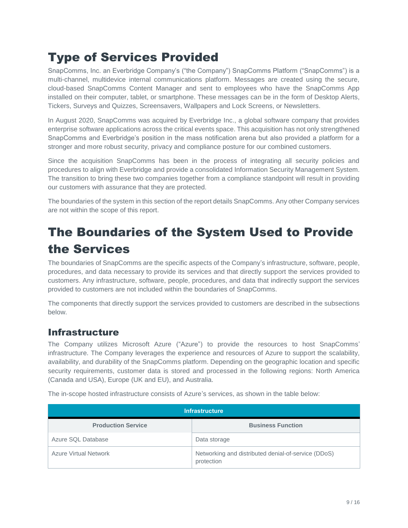## Type of Services Provided

SnapComms, Inc. an Everbridge Company's ("the Company") SnapComms Platform ("SnapComms") is a multi-channel, multidevice internal communications platform. Messages are created using the secure, cloud-based SnapComms Content Manager and sent to employees who have the SnapComms App installed on their computer, tablet, or smartphone. These messages can be in the form of Desktop Alerts, Tickers, Surveys and Quizzes, Screensavers, Wallpapers and Lock Screens, or Newsletters.

In August 2020, SnapComms was acquired by Everbridge Inc., a global software company that provides enterprise software applications across the critical events space. This acquisition has not only strengthened SnapComms and Everbridge's position in the mass notification arena but also provided a platform for a stronger and more robust security, privacy and compliance posture for our combined customers.

Since the acquisition SnapComms has been in the process of integrating all security policies and procedures to align with Everbridge and provide a consolidated Information Security Management System. The transition to bring these two companies together from a compliance standpoint will result in providing our customers with assurance that they are protected.

The boundaries of the system in this section of the report details SnapComms. Any other Company services are not within the scope of this report.

## The Boundaries of the System Used to Provide the Services

The boundaries of SnapComms are the specific aspects of the Company's infrastructure, software, people, procedures, and data necessary to provide its services and that directly support the services provided to customers. Any infrastructure, software, people, procedures, and data that indirectly support the services provided to customers are not included within the boundaries of SnapComms.

The components that directly support the services provided to customers are described in the subsections below.

### Infrastructure

The Company utilizes Microsoft Azure ("Azure") to provide the resources to host SnapComms' infrastructure. The Company leverages the experience and resources of Azure to support the scalability, availability, and durability of the SnapComms platform. Depending on the geographic location and specific security requirements, customer data is stored and processed in the following regions: North America (Canada and USA), Europe (UK and EU), and Australia.

| <b>Infrastructure</b>        |                                                                   |
|------------------------------|-------------------------------------------------------------------|
| <b>Production Service</b>    | <b>Business Function</b>                                          |
| Azure SQL Database           | Data storage                                                      |
| <b>Azure Virtual Network</b> | Networking and distributed denial-of-service (DDoS)<br>protection |

The in-scope hosted infrastructure consists of Azure's services, as shown in the table below: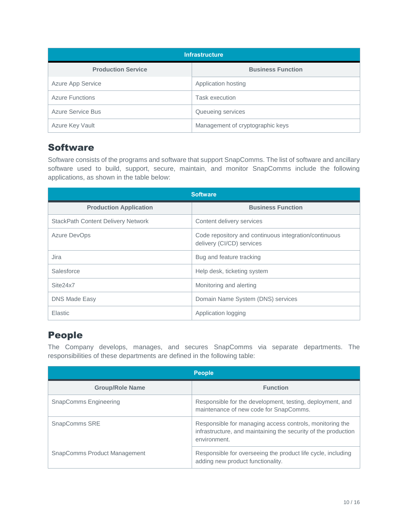| <b>Infrastructure</b>     |                                  |
|---------------------------|----------------------------------|
| <b>Production Service</b> | <b>Business Function</b>         |
| <b>Azure App Service</b>  | Application hosting              |
| <b>Azure Functions</b>    | <b>Task execution</b>            |
| Azure Service Bus         | Queueing services                |
| Azure Key Vault           | Management of cryptographic keys |

### Software

Software consists of the programs and software that support SnapComms. The list of software and ancillary software used to build, support, secure, maintain, and monitor SnapComms include the following applications, as shown in the table below:

| <b>Software</b>                           |                                                                                    |
|-------------------------------------------|------------------------------------------------------------------------------------|
| <b>Production Application</b>             | <b>Business Function</b>                                                           |
| <b>StackPath Content Delivery Network</b> | Content delivery services                                                          |
| <b>Azure DevOps</b>                       | Code repository and continuous integration/continuous<br>delivery (CI/CD) services |
| Jira                                      | Bug and feature tracking                                                           |
| Salesforce                                | Help desk, ticketing system                                                        |
| Site <sub>24x7</sub>                      | Monitoring and alerting                                                            |
| <b>DNS Made Easy</b>                      | Domain Name System (DNS) services                                                  |
| Elastic                                   | Application logging                                                                |

## People

The Company develops, manages, and secures SnapComms via separate departments. The responsibilities of these departments are defined in the following table:

| <b>People</b>                       |                                                                                                                                            |
|-------------------------------------|--------------------------------------------------------------------------------------------------------------------------------------------|
| <b>Group/Role Name</b>              | <b>Function</b>                                                                                                                            |
| <b>SnapComms Engineering</b>        | Responsible for the development, testing, deployment, and<br>maintenance of new code for SnapComms.                                        |
| SnapComms SRE                       | Responsible for managing access controls, monitoring the<br>infrastructure, and maintaining the security of the production<br>environment. |
| <b>SnapComms Product Management</b> | Responsible for overseeing the product life cycle, including<br>adding new product functionality.                                          |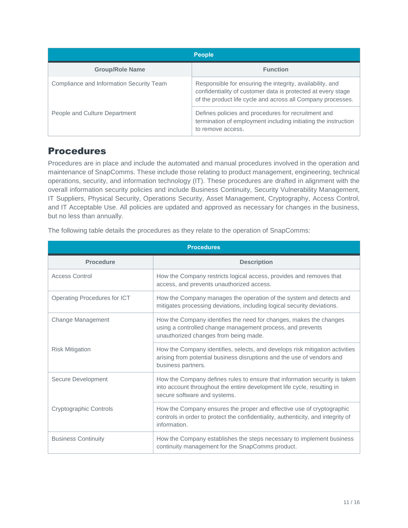| <b>People</b>                            |                                                                                                                                                                                          |
|------------------------------------------|------------------------------------------------------------------------------------------------------------------------------------------------------------------------------------------|
| <b>Group/Role Name</b>                   | <b>Function</b>                                                                                                                                                                          |
| Compliance and Information Security Team | Responsible for ensuring the integrity, availability, and<br>confidentiality of customer data is protected at every stage<br>of the product life cycle and across all Company processes. |
| People and Culture Department            | Defines policies and procedures for recruitment and<br>termination of employment including initiating the instruction<br>to remove access.                                               |

### Procedures

Procedures are in place and include the automated and manual procedures involved in the operation and maintenance of SnapComms. These include those relating to product management, engineering, technical operations, security, and information technology (IT). These procedures are drafted in alignment with the overall information security policies and include Business Continuity, Security Vulnerability Management, IT Suppliers, Physical Security, Operations Security, Asset Management, Cryptography, Access Control, and IT Acceptable Use. All policies are updated and approved as necessary for changes in the business, but no less than annually.

The following table details the procedures as they relate to the operation of SnapComms:

| <b>Procedures</b>            |                                                                                                                                                                                       |  |
|------------------------------|---------------------------------------------------------------------------------------------------------------------------------------------------------------------------------------|--|
| <b>Procedure</b>             | <b>Description</b>                                                                                                                                                                    |  |
| <b>Access Control</b>        | How the Company restricts logical access, provides and removes that<br>access, and prevents unauthorized access.                                                                      |  |
| Operating Procedures for ICT | How the Company manages the operation of the system and detects and<br>mitigates processing deviations, including logical security deviations.                                        |  |
| <b>Change Management</b>     | How the Company identifies the need for changes, makes the changes<br>using a controlled change management process, and prevents<br>unauthorized changes from being made.             |  |
| <b>Risk Mitigation</b>       | How the Company identifies, selects, and develops risk mitigation activities<br>arising from potential business disruptions and the use of vendors and<br>business partners.          |  |
| Secure Development           | How the Company defines rules to ensure that information security is taken<br>into account throughout the entire development life cycle, resulting in<br>secure software and systems. |  |
| Cryptographic Controls       | How the Company ensures the proper and effective use of cryptographic<br>controls in order to protect the confidentiality, authenticity, and integrity of<br>information.             |  |
| <b>Business Continuity</b>   | How the Company establishes the steps necessary to implement business<br>continuity management for the SnapComms product.                                                             |  |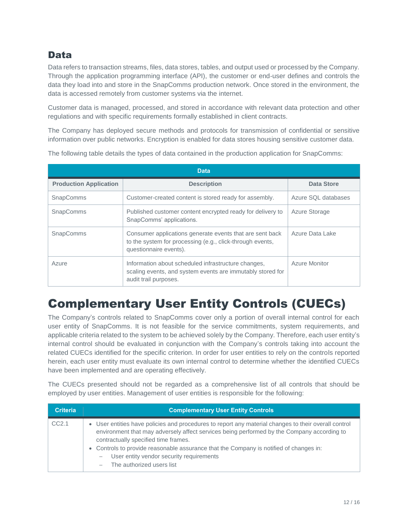## Data

Data refers to transaction streams, files, data stores, tables, and output used or processed by the Company. Through the application programming interface (API), the customer or end-user defines and controls the data they load into and store in the SnapComms production network. Once stored in the environment, the data is accessed remotely from customer systems via the internet.

Customer data is managed, processed, and stored in accordance with relevant data protection and other regulations and with specific requirements formally established in client contracts.

The Company has deployed secure methods and protocols for transmission of confidential or sensitive information over public networks. Encryption is enabled for data stores housing sensitive customer data.

| <b>Data</b>                   |                                                                                                                                                 |                      |
|-------------------------------|-------------------------------------------------------------------------------------------------------------------------------------------------|----------------------|
| <b>Production Application</b> | <b>Description</b>                                                                                                                              | <b>Data Store</b>    |
| <b>SnapComms</b>              | Customer-created content is stored ready for assembly.                                                                                          | Azure SQL databases  |
| <b>SnapComms</b>              | Published customer content encrypted ready for delivery to<br>SnapComms' applications.                                                          | Azure Storage        |
| <b>SnapComms</b>              | Consumer applications generate events that are sent back<br>to the system for processing (e.g., click-through events,<br>questionnaire events). | Azure Data Lake      |
| Azure                         | Information about scheduled infrastructure changes,<br>scaling events, and system events are immutably stored for<br>audit trail purposes.      | <b>Azure Monitor</b> |

The following table details the types of data contained in the production application for SnapComms:

## Complementary User Entity Controls (CUECs)

The Company's controls related to SnapComms cover only a portion of overall internal control for each user entity of SnapComms. It is not feasible for the service commitments, system requirements, and applicable criteria related to the system to be achieved solely by the Company. Therefore, each user entity's internal control should be evaluated in conjunction with the Company's controls taking into account the related CUECs identified for the specific criterion. In order for user entities to rely on the controls reported herein, each user entity must evaluate its own internal control to determine whether the identified CUECs have been implemented and are operating effectively.

The CUECs presented should not be regarded as a comprehensive list of all controls that should be employed by user entities. Management of user entities is responsible for the following:

| <b>Criteria</b>   | <b>Complementary User Entity Controls</b>                                                                                                                                                                                                                                                                                                                                                                                                   |
|-------------------|---------------------------------------------------------------------------------------------------------------------------------------------------------------------------------------------------------------------------------------------------------------------------------------------------------------------------------------------------------------------------------------------------------------------------------------------|
| CC <sub>2.1</sub> | • User entities have policies and procedures to report any material changes to their overall control<br>environment that may adversely affect services being performed by the Company according to<br>contractually specified time frames.<br>• Controls to provide reasonable assurance that the Company is notified of changes in:<br>User entity vendor security requirements<br>$\overline{\phantom{m}}$<br>- The authorized users list |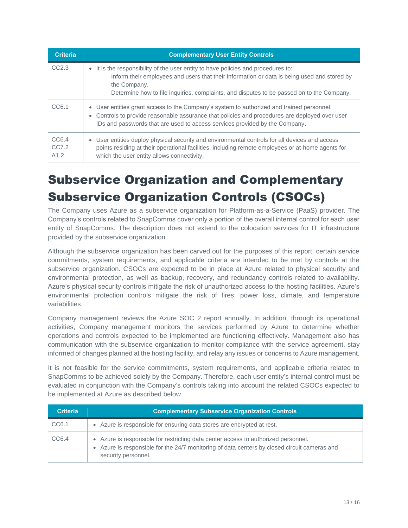| <b>Criteria</b>        | <b>Complementary User Entity Controls</b>                                                                                                                                                                                                                                                     |
|------------------------|-----------------------------------------------------------------------------------------------------------------------------------------------------------------------------------------------------------------------------------------------------------------------------------------------|
| CC2.3                  | • It is the responsibility of the user entity to have policies and procedures to:<br>Inform their employees and users that their information or data is being used and stored by<br>the Company.<br>Determine how to file inquiries, complaints, and disputes to be passed on to the Company. |
| CC6.1                  | • User entities grant access to the Company's system to authorized and trained personnel.<br>• Controls to provide reasonable assurance that policies and procedures are deployed over user<br>IDs and passwords that are used to access services provided by the Company.                    |
| CC6.4<br>CC7.2<br>A1.2 | • User entities deploy physical security and environmental controls for all devices and access<br>points residing at their operational facilities, including remote employees or at-home agents for<br>which the user entity allows connectivity.                                             |

# Subservice Organization and Complementary Subservice Organization Controls (CSOCs)

The Company uses Azure as a subservice organization for Platform-as-a-Service (PaaS) provider. The Company's controls related to SnapComms cover only a portion of the overall internal control for each user entity of SnapComms. The description does not extend to the colocation services for IT infrastructure provided by the subservice organization.

Although the subservice organization has been carved out for the purposes of this report, certain service commitments, system requirements, and applicable criteria are intended to be met by controls at the subservice organization. CSOCs are expected to be in place at Azure related to physical security and environmental protection, as well as backup, recovery, and redundancy controls related to availability. Azure's physical security controls mitigate the risk of unauthorized access to the hosting facilities. Azure's environmental protection controls mitigate the risk of fires, power loss, climate, and temperature variabilities.

Company management reviews the Azure SOC 2 report annually. In addition, through its operational activities, Company management monitors the services performed by Azure to determine whether operations and controls expected to be implemented are functioning effectively. Management also has communication with the subservice organization to monitor compliance with the service agreement, stay informed of changes planned at the hosting facility, and relay any issues or concerns to Azure management.

It is not feasible for the service commitments, system requirements, and applicable criteria related to SnapComms to be achieved solely by the Company. Therefore, each user entity's internal control must be evaluated in conjunction with the Company's controls taking into account the related CSOCs expected to be implemented at Azure as described below.

| <b>Criteria</b> | <b>Complementary Subservice Organization Controls</b>                                                                                                                                                     |
|-----------------|-----------------------------------------------------------------------------------------------------------------------------------------------------------------------------------------------------------|
| CC6.1           | • Azure is responsible for ensuring data stores are encrypted at rest.                                                                                                                                    |
| CC6.4           | • Azure is responsible for restricting data center access to authorized personnel.<br>• Azure is responsible for the 24/7 monitoring of data centers by closed circuit cameras and<br>security personnel. |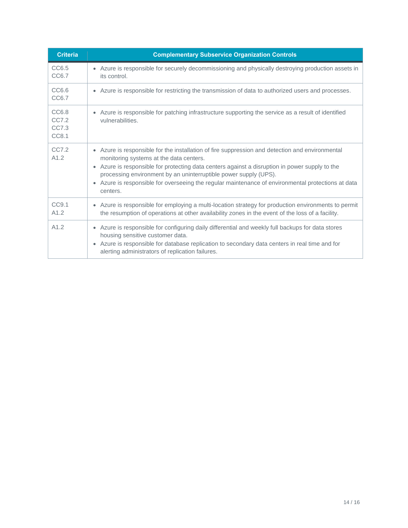| <b>Criteria</b>                  | <b>Complementary Subservice Organization Controls</b>                                                                                                                                                                                                                                                                                                                                                                              |
|----------------------------------|------------------------------------------------------------------------------------------------------------------------------------------------------------------------------------------------------------------------------------------------------------------------------------------------------------------------------------------------------------------------------------------------------------------------------------|
| CC6.5<br>CC6.7                   | • Azure is responsible for securely decommissioning and physically destroying production assets in<br>its control.                                                                                                                                                                                                                                                                                                                 |
| CC6.6<br>CC6.7                   | • Azure is responsible for restricting the transmission of data to authorized users and processes.                                                                                                                                                                                                                                                                                                                                 |
| CC6.8<br>CC7.2<br>CC7.3<br>CC8.1 | Azure is responsible for patching infrastructure supporting the service as a result of identified<br>vulnerabilities.                                                                                                                                                                                                                                                                                                              |
| CC7.2<br>A1.2                    | • Azure is responsible for the installation of fire suppression and detection and environmental<br>monitoring systems at the data centers.<br>• Azure is responsible for protecting data centers against a disruption in power supply to the<br>processing environment by an uninterruptible power supply (UPS).<br>• Azure is responsible for overseeing the regular maintenance of environmental protections at data<br>centers. |
| CC9.1<br>A1.2                    | • Azure is responsible for employing a multi-location strategy for production environments to permit<br>the resumption of operations at other availability zones in the event of the loss of a facility.                                                                                                                                                                                                                           |
| A1.2                             | • Azure is responsible for configuring daily differential and weekly full backups for data stores<br>housing sensitive customer data.<br>Azure is responsible for database replication to secondary data centers in real time and for<br>$\bullet$<br>alerting administrators of replication failures.                                                                                                                             |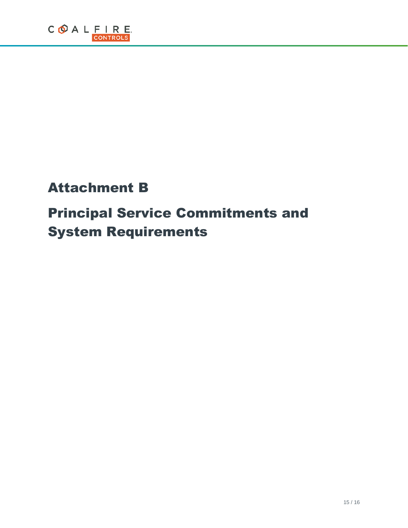# Attachment B

# Principal Service Commitments and System Requirements